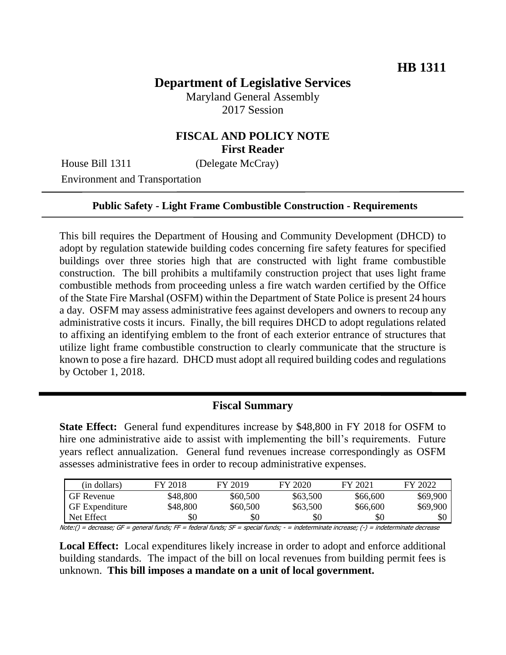## **Department of Legislative Services**

Maryland General Assembly 2017 Session

### **FISCAL AND POLICY NOTE First Reader**

House Bill 1311 (Delegate McCray)

Environment and Transportation

#### **Public Safety - Light Frame Combustible Construction - Requirements**

This bill requires the Department of Housing and Community Development (DHCD) to adopt by regulation statewide building codes concerning fire safety features for specified buildings over three stories high that are constructed with light frame combustible construction. The bill prohibits a multifamily construction project that uses light frame combustible methods from proceeding unless a fire watch warden certified by the Office of the State Fire Marshal (OSFM) within the Department of State Police is present 24 hours a day. OSFM may assess administrative fees against developers and owners to recoup any administrative costs it incurs. Finally, the bill requires DHCD to adopt regulations related to affixing an identifying emblem to the front of each exterior entrance of structures that utilize light frame combustible construction to clearly communicate that the structure is known to pose a fire hazard. DHCD must adopt all required building codes and regulations by October 1, 2018.

#### **Fiscal Summary**

**State Effect:** General fund expenditures increase by \$48,800 in FY 2018 for OSFM to hire one administrative aide to assist with implementing the bill's requirements. Future years reflect annualization. General fund revenues increase correspondingly as OSFM assesses administrative fees in order to recoup administrative expenses.

|                                                                                                                                          | (in dollars)          | FY 2018  | FY 2019  | FY 2020  | FY 2021  | FY 2022  |  |
|------------------------------------------------------------------------------------------------------------------------------------------|-----------------------|----------|----------|----------|----------|----------|--|
|                                                                                                                                          | <b>GF</b> Revenue     | \$48,800 | \$60,500 | \$63,500 | \$66,600 | \$69,900 |  |
|                                                                                                                                          | <b>GF</b> Expenditure | \$48,800 | \$60,500 | \$63,500 | \$66,600 | \$69,900 |  |
|                                                                                                                                          | Net Effect            | \$0      | \$0      | \$0      | \$0      | \$0      |  |
| Note:() = decrease; GF = general funds; FF = federal funds; SF = special funds; - = indeterminate increase; (-) = indeterminate decrease |                       |          |          |          |          |          |  |

**Local Effect:** Local expenditures likely increase in order to adopt and enforce additional building standards. The impact of the bill on local revenues from building permit fees is unknown. **This bill imposes a mandate on a unit of local government.**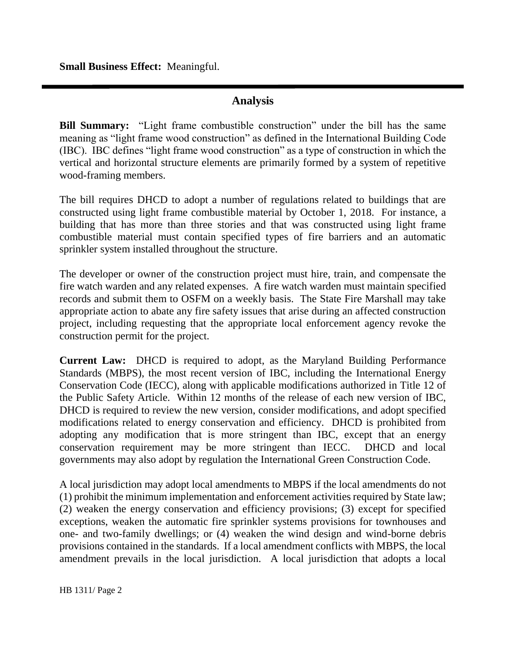**Small Business Effect:** Meaningful.

## **Analysis**

**Bill Summary:** "Light frame combustible construction" under the bill has the same meaning as "light frame wood construction" as defined in the International Building Code (IBC). IBC defines "light frame wood construction" as a type of construction in which the vertical and horizontal structure elements are primarily formed by a system of repetitive wood-framing members.

The bill requires DHCD to adopt a number of regulations related to buildings that are constructed using light frame combustible material by October 1, 2018. For instance, a building that has more than three stories and that was constructed using light frame combustible material must contain specified types of fire barriers and an automatic sprinkler system installed throughout the structure.

The developer or owner of the construction project must hire, train, and compensate the fire watch warden and any related expenses. A fire watch warden must maintain specified records and submit them to OSFM on a weekly basis. The State Fire Marshall may take appropriate action to abate any fire safety issues that arise during an affected construction project, including requesting that the appropriate local enforcement agency revoke the construction permit for the project.

**Current Law:** DHCD is required to adopt, as the Maryland Building Performance Standards (MBPS), the most recent version of IBC, including the International Energy Conservation Code (IECC), along with applicable modifications authorized in Title 12 of the Public Safety Article. Within 12 months of the release of each new version of IBC, DHCD is required to review the new version, consider modifications, and adopt specified modifications related to energy conservation and efficiency. DHCD is prohibited from adopting any modification that is more stringent than IBC, except that an energy conservation requirement may be more stringent than IECC. DHCD and local governments may also adopt by regulation the International Green Construction Code.

A local jurisdiction may adopt local amendments to MBPS if the local amendments do not (1) prohibit the minimum implementation and enforcement activities required by State law; (2) weaken the energy conservation and efficiency provisions; (3) except for specified exceptions, weaken the automatic fire sprinkler systems provisions for townhouses and one- and two-family dwellings; or (4) weaken the wind design and wind-borne debris provisions contained in the standards. If a local amendment conflicts with MBPS, the local amendment prevails in the local jurisdiction. A local jurisdiction that adopts a local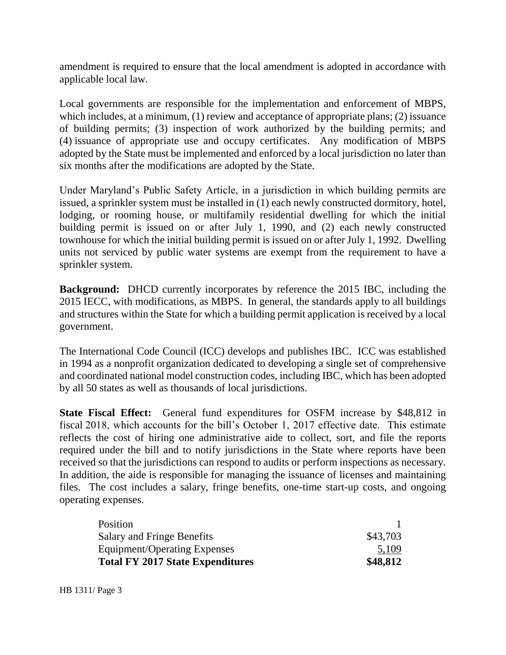amendment is required to ensure that the local amendment is adopted in accordance with applicable local law.

Local governments are responsible for the implementation and enforcement of MBPS, which includes, at a minimum, (1) review and acceptance of appropriate plans; (2) issuance of building permits; (3) inspection of work authorized by the building permits; and (4) issuance of appropriate use and occupy certificates. Any modification of MBPS adopted by the State must be implemented and enforced by a local jurisdiction no later than six months after the modifications are adopted by the State.

Under Maryland's Public Safety Article, in a jurisdiction in which building permits are issued, a sprinkler system must be installed in (1) each newly constructed dormitory, hotel, lodging, or rooming house, or multifamily residential dwelling for which the initial building permit is issued on or after July 1, 1990, and (2) each newly constructed townhouse for which the initial building permit is issued on or after July 1, 1992. Dwelling units not serviced by public water systems are exempt from the requirement to have a sprinkler system.

**Background:** DHCD currently incorporates by reference the 2015 IBC, including the 2015 IECC, with modifications, as MBPS. In general, the standards apply to all buildings and structures within the State for which a building permit application is received by a local government.

The International Code Council (ICC) develops and publishes IBC. ICC was established in 1994 as a nonprofit organization dedicated to developing a single set of comprehensive and coordinated national model construction codes, including IBC, which has been adopted by all 50 states as well as thousands of local jurisdictions.

**State Fiscal Effect:** General fund expenditures for OSFM increase by \$48,812 in fiscal 2018, which accounts for the bill's October 1, 2017 effective date. This estimate reflects the cost of hiring one administrative aide to collect, sort, and file the reports required under the bill and to notify jurisdictions in the State where reports have been received so that the jurisdictions can respond to audits or perform inspections as necessary. In addition, the aide is responsible for managing the issuance of licenses and maintaining files. The cost includes a salary, fringe benefits, one-time start-up costs, and ongoing operating expenses.

| <b>Total FY 2017 State Expenditures</b> | \$48,812 |
|-----------------------------------------|----------|
| Equipment/Operating Expenses            | 5,109    |
| <b>Salary and Fringe Benefits</b>       | \$43,703 |
| Position                                |          |